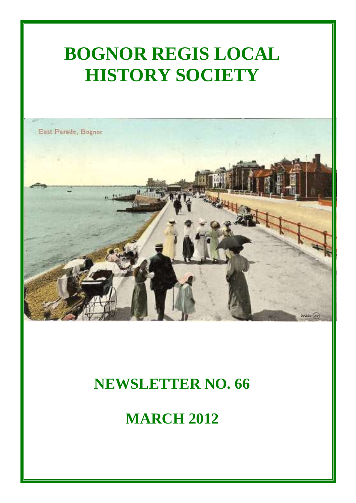# **BOGNOR REGIS LOCAL HISTORY SOCIETY**



## **NEWSLETTER NO. 66**

**MARCH 2012**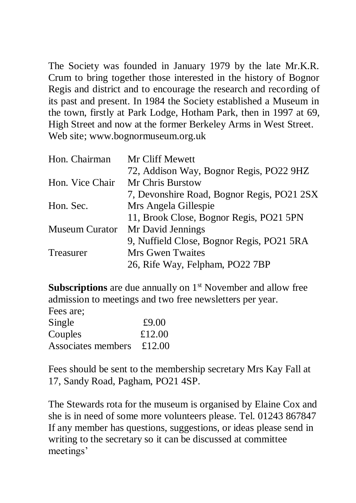The Society was founded in January 1979 by the late Mr.K.R. Crum to bring together those interested in the history of Bognor Regis and district and to encourage the research and recording of its past and present. In 1984 the Society established a Museum in the town, firstly at Park Lodge, Hotham Park, then in 1997 at 69, High Street and now at the former Berkeley Arms in West Street. Web site; [www.bognormuseum.org.uk](http://www.bognormuseum.org.uk/)

| Hon. Chairman         | Mr Cliff Mewett                            |
|-----------------------|--------------------------------------------|
|                       | 72, Addison Way, Bognor Regis, PO22 9HZ    |
| Hon. Vice Chair       | Mr Chris Burstow                           |
|                       | 7, Devonshire Road, Bognor Regis, PO21 2SX |
| Hon. Sec.             | Mrs Angela Gillespie                       |
|                       | 11, Brook Close, Bognor Regis, PO21 5PN    |
| <b>Museum Curator</b> | Mr David Jennings                          |
|                       | 9, Nuffield Close, Bognor Regis, PO21 5RA  |
| Treasurer             | Mrs Gwen Twaites                           |
|                       | 26, Rife Way, Felpham, PO22 7BP            |

**Subscriptions** are due annually on 1<sup>st</sup> November and allow free admission to meetings and two free newsletters per year.

Fees are; Single  $\text{\pounds}9.00$ Couples £12.00 Associates members £12.00

Fees should be sent to the membership secretary Mrs Kay Fall at 17, Sandy Road, Pagham, PO21 4SP.

The Stewards rota for the museum is organised by Elaine Cox and she is in need of some more volunteers please. Tel. 01243 867847 If any member has questions, suggestions, or ideas please send in writing to the secretary so it can be discussed at committee meetings'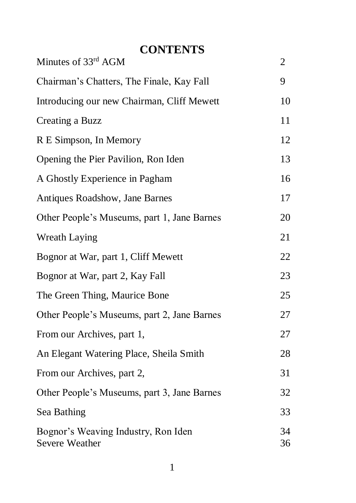## **CONTENTS**

| Minutes of 33rd AGM                                   | 2        |
|-------------------------------------------------------|----------|
| Chairman's Chatters, The Finale, Kay Fall             | 9        |
| Introducing our new Chairman, Cliff Mewett            | 10       |
| Creating a Buzz                                       | 11       |
| R E Simpson, In Memory                                | 12       |
| Opening the Pier Pavilion, Ron Iden                   | 13       |
| A Ghostly Experience in Pagham                        | 16       |
| Antiques Roadshow, Jane Barnes                        | 17       |
| Other People's Museums, part 1, Jane Barnes           | 20       |
| <b>Wreath Laying</b>                                  | 21       |
| Bognor at War, part 1, Cliff Mewett                   | 22       |
| Bognor at War, part 2, Kay Fall                       | 23       |
| The Green Thing, Maurice Bone                         | 25       |
| Other People's Museums, part 2, Jane Barnes           | 27       |
| From our Archives, part 1,                            | 27       |
| An Elegant Watering Place, Sheila Smith               | 28       |
| From our Archives, part 2,                            | 31       |
| Other People's Museums, part 3, Jane Barnes           | 32       |
| Sea Bathing                                           | 33       |
| Bognor's Weaving Industry, Ron Iden<br>Severe Weather | 34<br>36 |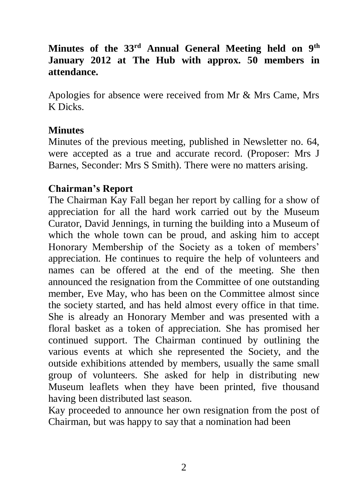#### **Minutes of the 33rd Annual General Meeting held on 9th January 2012 at The Hub with approx. 50 members in attendance.**

Apologies for absence were received from Mr & Mrs Came, Mrs K Dicks.

#### **Minutes**

Minutes of the previous meeting, published in Newsletter no. 64, were accepted as a true and accurate record. (Proposer: Mrs J Barnes, Seconder: Mrs S Smith). There were no matters arising.

#### **Chairman's Report**

The Chairman Kay Fall began her report by calling for a show of appreciation for all the hard work carried out by the Museum Curator, David Jennings, in turning the building into a Museum of which the whole town can be proud, and asking him to accept Honorary Membership of the Society as a token of members' appreciation. He continues to require the help of volunteers and names can be offered at the end of the meeting. She then announced the resignation from the Committee of one outstanding member, Eve May, who has been on the Committee almost since the society started, and has held almost every office in that time. She is already an Honorary Member and was presented with a floral basket as a token of appreciation. She has promised her continued support. The Chairman continued by outlining the various events at which she represented the Society, and the outside exhibitions attended by members, usually the same small group of volunteers. She asked for help in distributing new Museum leaflets when they have been printed, five thousand having been distributed last season.

Kay proceeded to announce her own resignation from the post of Chairman, but was happy to say that a nomination had been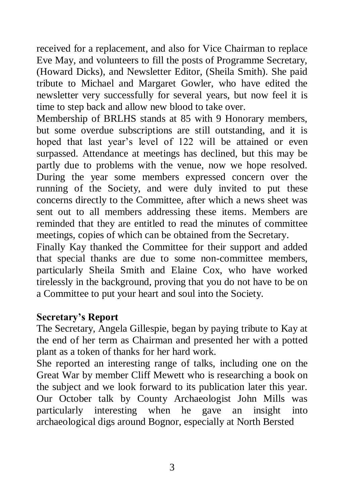received for a replacement, and also for Vice Chairman to replace Eve May, and volunteers to fill the posts of Programme Secretary, (Howard Dicks), and Newsletter Editor, (Sheila Smith). She paid tribute to Michael and Margaret Gowler, who have edited the newsletter very successfully for several years, but now feel it is time to step back and allow new blood to take over.

Membership of BRLHS stands at 85 with 9 Honorary members, but some overdue subscriptions are still outstanding, and it is hoped that last year's level of 122 will be attained or even surpassed. Attendance at meetings has declined, but this may be partly due to problems with the venue, now we hope resolved. During the year some members expressed concern over the running of the Society, and were duly invited to put these concerns directly to the Committee, after which a news sheet was sent out to all members addressing these items. Members are reminded that they are entitled to read the minutes of committee meetings, copies of which can be obtained from the Secretary.

Finally Kay thanked the Committee for their support and added that special thanks are due to some non-committee members, particularly Sheila Smith and Elaine Cox, who have worked tirelessly in the background, proving that you do not have to be on a Committee to put your heart and soul into the Society.

#### **Secretary's Report**

The Secretary, Angela Gillespie, began by paying tribute to Kay at the end of her term as Chairman and presented her with a potted plant as a token of thanks for her hard work.

She reported an interesting range of talks, including one on the Great War by member Cliff Mewett who is researching a book on the subject and we look forward to its publication later this year. Our October talk by County Archaeologist John Mills was particularly interesting when he gave an insight into archaeological digs around Bognor, especially at North Bersted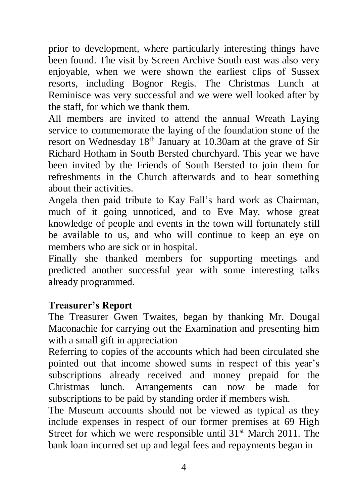prior to development, where particularly interesting things have been found. The visit by Screen Archive South east was also very enjoyable, when we were shown the earliest clips of Sussex resorts, including Bognor Regis. The Christmas Lunch at Reminisce was very successful and we were well looked after by the staff, for which we thank them.

All members are invited to attend the annual Wreath Laying service to commemorate the laying of the foundation stone of the resort on Wednesday 18th January at 10.30am at the grave of Sir Richard Hotham in South Bersted churchyard. This year we have been invited by the Friends of South Bersted to join them for refreshments in the Church afterwards and to hear something about their activities.

Angela then paid tribute to Kay Fall's hard work as Chairman, much of it going unnoticed, and to Eve May, whose great knowledge of people and events in the town will fortunately still be available to us, and who will continue to keep an eye on members who are sick or in hospital.

Finally she thanked members for supporting meetings and predicted another successful year with some interesting talks already programmed.

#### **Treasurer's Report**

The Treasurer Gwen Twaites, began by thanking Mr. Dougal Maconachie for carrying out the Examination and presenting him with a small gift in appreciation

Referring to copies of the accounts which had been circulated she pointed out that income showed sums in respect of this year's subscriptions already received and money prepaid for the Christmas lunch. Arrangements can now be made for subscriptions to be paid by standing order if members wish.

The Museum accounts should not be viewed as typical as they include expenses in respect of our former premises at 69 High Street for which we were responsible until  $31<sup>st</sup>$  March 2011. The bank loan incurred set up and legal fees and repayments began in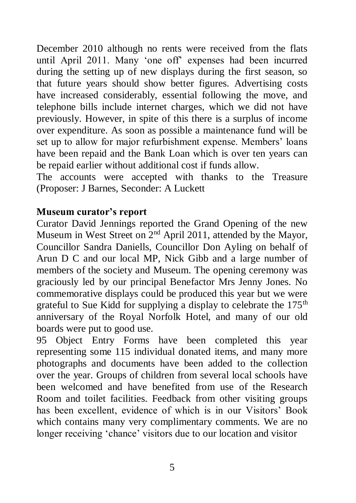December 2010 although no rents were received from the flats until April 2011. Many 'one off' expenses had been incurred during the setting up of new displays during the first season, so that future years should show better figures. Advertising costs have increased considerably, essential following the move, and telephone bills include internet charges, which we did not have previously. However, in spite of this there is a surplus of income over expenditure. As soon as possible a maintenance fund will be set up to allow for major refurbishment expense. Members' loans have been repaid and the Bank Loan which is over ten years can be repaid earlier without additional cost if funds allow.

The accounts were accepted with thanks to the Treasure (Proposer: J Barnes, Seconder: A Luckett

#### **Museum curator's report**

Curator David Jennings reported the Grand Opening of the new Museum in West Street on 2nd April 2011, attended by the Mayor, Councillor Sandra Daniells, Councillor Don Ayling on behalf of Arun D C and our local MP, Nick Gibb and a large number of members of the society and Museum. The opening ceremony was graciously led by our principal Benefactor Mrs Jenny Jones. No commemorative displays could be produced this year but we were grateful to Sue Kidd for supplying a display to celebrate the  $175<sup>th</sup>$ anniversary of the Royal Norfolk Hotel, and many of our old boards were put to good use.

95 Object Entry Forms have been completed this year representing some 115 individual donated items, and many more photographs and documents have been added to the collection over the year. Groups of children from several local schools have been welcomed and have benefited from use of the Research Room and toilet facilities. Feedback from other visiting groups has been excellent, evidence of which is in our Visitors' Book which contains many very complimentary comments. We are no longer receiving 'chance' visitors due to our location and visitor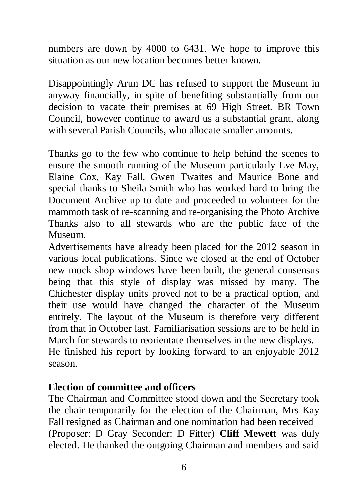numbers are down by 4000 to 6431. We hope to improve this situation as our new location becomes better known.

Disappointingly Arun DC has refused to support the Museum in anyway financially, in spite of benefiting substantially from our decision to vacate their premises at 69 High Street. BR Town Council, however continue to award us a substantial grant, along with several Parish Councils, who allocate smaller amounts.

Thanks go to the few who continue to help behind the scenes to ensure the smooth running of the Museum particularly Eve May, Elaine Cox, Kay Fall, Gwen Twaites and Maurice Bone and special thanks to Sheila Smith who has worked hard to bring the Document Archive up to date and proceeded to volunteer for the mammoth task of re-scanning and re-organising the Photo Archive Thanks also to all stewards who are the public face of the Museum.

Advertisements have already been placed for the 2012 season in various local publications. Since we closed at the end of October new mock shop windows have been built, the general consensus being that this style of display was missed by many. The Chichester display units proved not to be a practical option, and their use would have changed the character of the Museum entirely. The layout of the Museum is therefore very different from that in October last. Familiarisation sessions are to be held in March for stewards to reorientate themselves in the new displays. He finished his report by looking forward to an enjoyable 2012 season.

#### **Election of committee and officers**

The Chairman and Committee stood down and the Secretary took the chair temporarily for the election of the Chairman, Mrs Kay Fall resigned as Chairman and one nomination had been received (Proposer: D Gray Seconder: D Fitter) **Cliff Mewett** was duly elected. He thanked the outgoing Chairman and members and said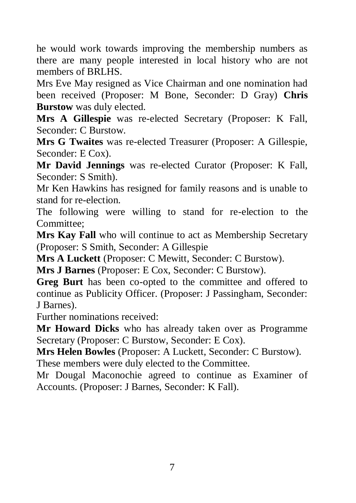he would work towards improving the membership numbers as there are many people interested in local history who are not members of **BRLHS**.

Mrs Eve May resigned as Vice Chairman and one nomination had been received (Proposer: M Bone, Seconder: D Gray) **Chris Burstow** was duly elected.

**Mrs A Gillespie** was re-elected Secretary (Proposer: K Fall, Seconder: C Burstow.

**Mrs G Twaites** was re-elected Treasurer (Proposer: A Gillespie, Seconder: E Cox).

**Mr David Jennings** was re-elected Curator (Proposer: K Fall, Seconder: S Smith).

Mr Ken Hawkins has resigned for family reasons and is unable to stand for re-election.

The following were willing to stand for re-election to the Committee;

**Mrs Kay Fall** who will continue to act as Membership Secretary (Proposer: S Smith, Seconder: A Gillespie

**Mrs A Luckett** (Proposer: C Mewitt, Seconder: C Burstow).

**Mrs J Barnes** (Proposer: E Cox, Seconder: C Burstow).

**Greg Burt** has been co-opted to the committee and offered to continue as Publicity Officer. (Proposer: J Passingham, Seconder: J Barnes).

Further nominations received:

**Mr Howard Dicks** who has already taken over as Programme Secretary (Proposer: C Burstow, Seconder: E Cox).

**Mrs Helen Bowles** (Proposer: A Luckett, Seconder: C Burstow). These members were duly elected to the Committee.

Mr Dougal Maconochie agreed to continue as Examiner of Accounts. (Proposer: J Barnes, Seconder: K Fall).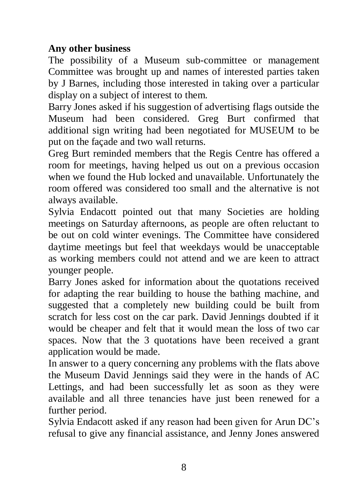#### **Any other business**

The possibility of a Museum sub-committee or management Committee was brought up and names of interested parties taken by J Barnes, including those interested in taking over a particular display on a subject of interest to them.

Barry Jones asked if his suggestion of advertising flags outside the Museum had been considered. Greg Burt confirmed that additional sign writing had been negotiated for MUSEUM to be put on the façade and two wall returns.

Greg Burt reminded members that the Regis Centre has offered a room for meetings, having helped us out on a previous occasion when we found the Hub locked and unavailable. Unfortunately the room offered was considered too small and the alternative is not always available.

Sylvia Endacott pointed out that many Societies are holding meetings on Saturday afternoons, as people are often reluctant to be out on cold winter evenings. The Committee have considered daytime meetings but feel that weekdays would be unacceptable as working members could not attend and we are keen to attract younger people.

Barry Jones asked for information about the quotations received for adapting the rear building to house the bathing machine, and suggested that a completely new building could be built from scratch for less cost on the car park. David Jennings doubted if it would be cheaper and felt that it would mean the loss of two car spaces. Now that the 3 quotations have been received a grant application would be made.

In answer to a query concerning any problems with the flats above the Museum David Jennings said they were in the hands of AC Lettings, and had been successfully let as soon as they were available and all three tenancies have just been renewed for a further period.

Sylvia Endacott asked if any reason had been given for Arun DC's refusal to give any financial assistance, and Jenny Jones answered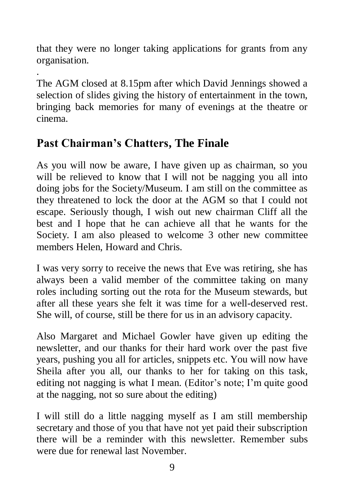that they were no longer taking applications for grants from any organisation.

. The AGM closed at 8.15pm after which David Jennings showed a selection of slides giving the history of entertainment in the town, bringing back memories for many of evenings at the theatre or cinema.

## **Past Chairman's Chatters, The Finale**

As you will now be aware, I have given up as chairman, so you will be relieved to know that I will not be nagging you all into doing jobs for the Society/Museum. I am still on the committee as they threatened to lock the door at the AGM so that I could not escape. Seriously though, I wish out new chairman Cliff all the best and I hope that he can achieve all that he wants for the Society. I am also pleased to welcome 3 other new committee members Helen, Howard and Chris.

I was very sorry to receive the news that Eve was retiring, she has always been a valid member of the committee taking on many roles including sorting out the rota for the Museum stewards, but after all these years she felt it was time for a well-deserved rest. She will, of course, still be there for us in an advisory capacity.

Also Margaret and Michael Gowler have given up editing the newsletter, and our thanks for their hard work over the past five years, pushing you all for articles, snippets etc. You will now have Sheila after you all, our thanks to her for taking on this task, editing not nagging is what I mean. (Editor's note; I'm quite good at the nagging, not so sure about the editing)

I will still do a little nagging myself as I am still membership secretary and those of you that have not yet paid their subscription there will be a reminder with this newsletter. Remember subs were due for renewal last November.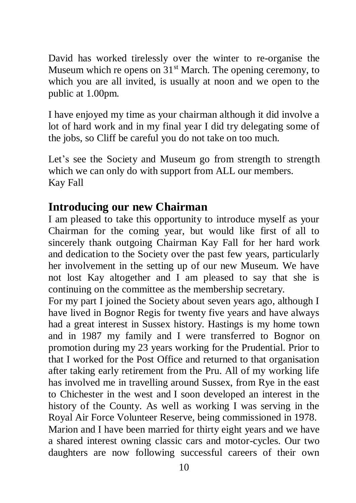David has worked tirelessly over the winter to re-organise the Museum which re opens on  $31<sup>st</sup>$  March. The opening ceremony, to which you are all invited, is usually at noon and we open to the public at 1.00pm.

I have enjoyed my time as your chairman although it did involve a lot of hard work and in my final year I did try delegating some of the jobs, so Cliff be careful you do not take on too much.

Let's see the Society and Museum go from strength to strength which we can only do with support from ALL our members. Kay Fall

## **Introducing our new Chairman**

I am pleased to take this opportunity to introduce myself as your Chairman for the coming year, but would like first of all to sincerely thank outgoing Chairman Kay Fall for her hard work and dedication to the Society over the past few years, particularly her involvement in the setting up of our new Museum. We have not lost Kay altogether and I am pleased to say that she is continuing on the committee as the membership secretary.

For my part I joined the Society about seven years ago, although I have lived in Bognor Regis for twenty five years and have always had a great interest in Sussex history. Hastings is my home town and in 1987 my family and I were transferred to Bognor on promotion during my 23 years working for the Prudential. Prior to that I worked for the Post Office and returned to that organisation after taking early retirement from the Pru. All of my working life has involved me in travelling around Sussex, from Rye in the east to Chichester in the west and I soon developed an interest in the history of the County. As well as working I was serving in the Royal Air Force Volunteer Reserve, being commissioned in 1978. Marion and I have been married for thirty eight years and we have a shared interest owning classic cars and motor-cycles. Our two daughters are now following successful careers of their own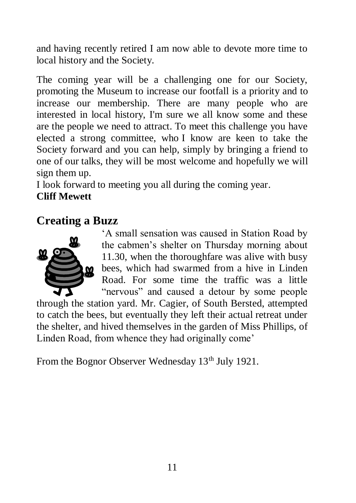and having recently retired I am now able to devote more time to local history and the Society.

The coming year will be a challenging one for our Society, promoting the Museum to increase our footfall is a priority and to increase our membership. There are many people who are interested in local history, I'm sure we all know some and these are the people we need to attract. To meet this challenge you have elected a strong committee, who I know are keen to take the Society forward and you can help, simply by bringing a friend to one of our talks, they will be most welcome and hopefully we will sign them up.

I look forward to meeting you all during the coming year.

#### **Cliff Mewett**

#### **Creating a Buzz**



'A small sensation was caused in Station Road by the cabmen's shelter on Thursday morning about 11.30, when the thoroughfare was alive with busy  $\omega$  bees, which had swarmed from a hive in Linden Road. For some time the traffic was a little "nervous" and caused a detour by some people

through the station yard. Mr. Cagier, of South Bersted, attempted to catch the bees, but eventually they left their actual retreat under the shelter, and hived themselves in the garden of Miss Phillips, of Linden Road, from whence they had originally come'

From the Bognor Observer Wednesday 13<sup>th</sup> July 1921.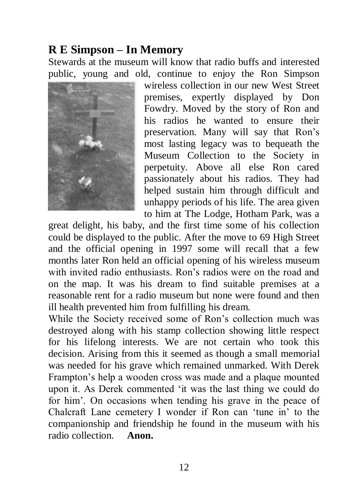## **R E Simpson – In Memory**

Stewards at the museum will know that radio buffs and interested public, young and old, continue to enjoy the Ron Simpson



wireless collection in our new West Street premises, expertly displayed by Don Fowdry. Moved by the story of Ron and his radios he wanted to ensure their preservation. Many will say that Ron's most lasting legacy was to bequeath the Museum Collection to the Society in perpetuity. Above all else Ron cared passionately about his radios. They had helped sustain him through difficult and unhappy periods of his life. The area given to him at The Lodge, Hotham Park, was a

great delight, his baby, and the first time some of his collection could be displayed to the public. After the move to 69 High Street and the official opening in 1997 some will recall that a few months later Ron held an official opening of his wireless museum with invited radio enthusiasts. Ron's radios were on the road and on the map. It was his dream to find suitable premises at a reasonable rent for a radio museum but none were found and then ill health prevented him from fulfilling his dream.

While the Society received some of Ron's collection much was destroyed along with his stamp collection showing little respect for his lifelong interests. We are not certain who took this decision. Arising from this it seemed as though a small memorial was needed for his grave which remained unmarked. With Derek Frampton's help a wooden cross was made and a plaque mounted upon it. As Derek commented 'it was the last thing we could do for him'. On occasions when tending his grave in the peace of Chalcraft Lane cemetery I wonder if Ron can 'tune in' to the companionship and friendship he found in the museum with his radio collection. **Anon.**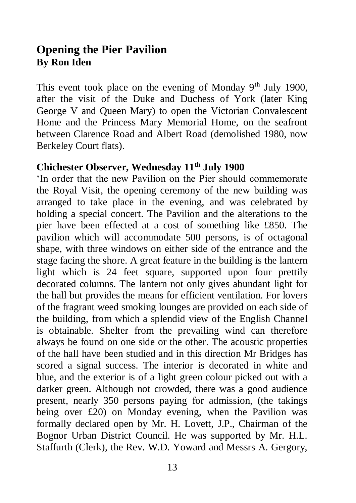#### **Opening the Pier Pavilion By Ron Iden**

This event took place on the evening of Monday  $9<sup>th</sup>$  July 1900, after the visit of the Duke and Duchess of York (later King George V and Queen Mary) to open the Victorian Convalescent Home and the Princess Mary Memorial Home, on the seafront between Clarence Road and Albert Road (demolished 1980, now Berkeley Court flats).

#### **Chichester Observer, Wednesday 11th July 1900**

'In order that the new Pavilion on the Pier should commemorate the Royal Visit, the opening ceremony of the new building was arranged to take place in the evening, and was celebrated by holding a special concert. The Pavilion and the alterations to the pier have been effected at a cost of something like £850. The pavilion which will accommodate 500 persons, is of octagonal shape, with three windows on either side of the entrance and the stage facing the shore. A great feature in the building is the lantern light which is 24 feet square, supported upon four prettily decorated columns. The lantern not only gives abundant light for the hall but provides the means for efficient ventilation. For lovers of the fragrant weed smoking lounges are provided on each side of the building, from which a splendid view of the English Channel is obtainable. Shelter from the prevailing wind can therefore always be found on one side or the other. The acoustic properties of the hall have been studied and in this direction Mr Bridges has scored a signal success. The interior is decorated in white and blue, and the exterior is of a light green colour picked out with a darker green. Although not crowded, there was a good audience present, nearly 350 persons paying for admission, (the takings being over £20) on Monday evening, when the Pavilion was formally declared open by Mr. H. Lovett, J.P., Chairman of the Bognor Urban District Council. He was supported by Mr. H.L. Staffurth (Clerk), the Rev. W.D. Yoward and Messrs A. Gergory,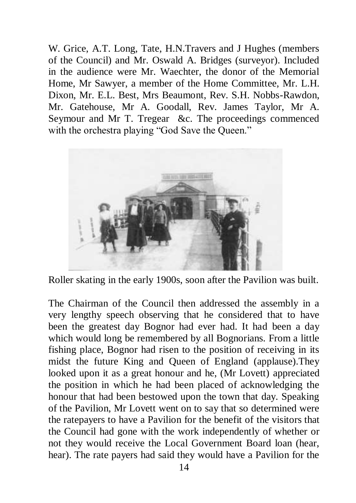W. Grice, A.T. Long, Tate, H.N.Travers and J Hughes (members of the Council) and Mr. Oswald A. Bridges (surveyor). Included in the audience were Mr. Waechter, the donor of the Memorial Home, Mr Sawyer, a member of the Home Committee, Mr. L.H. Dixon, Mr. E.L. Best, Mrs Beaumont, Rev. S.H. Nobbs-Rawdon, Mr. Gatehouse, Mr A. Goodall, Rev. James Taylor, Mr A. Seymour and Mr T. Tregear &c. The proceedings commenced with the orchestra playing "God Save the Queen."



Roller skating in the early 1900s, soon after the Pavilion was built.

The Chairman of the Council then addressed the assembly in a very lengthy speech observing that he considered that to have been the greatest day Bognor had ever had. It had been a day which would long be remembered by all Bognorians. From a little fishing place, Bognor had risen to the position of receiving in its midst the future King and Queen of England (applause).They looked upon it as a great honour and he, (Mr Lovett) appreciated the position in which he had been placed of acknowledging the honour that had been bestowed upon the town that day. Speaking of the Pavilion, Mr Lovett went on to say that so determined were the ratepayers to have a Pavilion for the benefit of the visitors that the Council had gone with the work independently of whether or not they would receive the Local Government Board loan (hear, hear). The rate payers had said they would have a Pavilion for the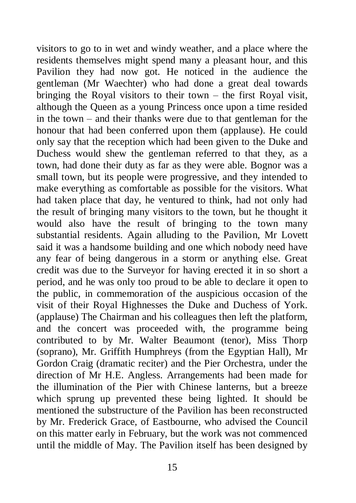visitors to go to in wet and windy weather, and a place where the residents themselves might spend many a pleasant hour, and this Pavilion they had now got. He noticed in the audience the gentleman (Mr Waechter) who had done a great deal towards bringing the Royal visitors to their town – the first Royal visit, although the Queen as a young Princess once upon a time resided in the town – and their thanks were due to that gentleman for the honour that had been conferred upon them (applause). He could only say that the reception which had been given to the Duke and Duchess would shew the gentleman referred to that they, as a town, had done their duty as far as they were able. Bognor was a small town, but its people were progressive, and they intended to make everything as comfortable as possible for the visitors. What had taken place that day, he ventured to think, had not only had the result of bringing many visitors to the town, but he thought it would also have the result of bringing to the town many substantial residents. Again alluding to the Pavilion, Mr Lovett said it was a handsome building and one which nobody need have any fear of being dangerous in a storm or anything else. Great credit was due to the Surveyor for having erected it in so short a period, and he was only too proud to be able to declare it open to the public, in commemoration of the auspicious occasion of the visit of their Royal Highnesses the Duke and Duchess of York. (applause) The Chairman and his colleagues then left the platform, and the concert was proceeded with, the programme being contributed to by Mr. Walter Beaumont (tenor), Miss Thorp (soprano), Mr. Griffith Humphreys (from the Egyptian Hall), Mr Gordon Craig (dramatic reciter) and the Pier Orchestra, under the direction of Mr H.E. Angless. Arrangements had been made for the illumination of the Pier with Chinese lanterns, but a breeze which sprung up prevented these being lighted. It should be mentioned the substructure of the Pavilion has been reconstructed by Mr. Frederick Grace, of Eastbourne, who advised the Council on this matter early in February, but the work was not commenced until the middle of May. The Pavilion itself has been designed by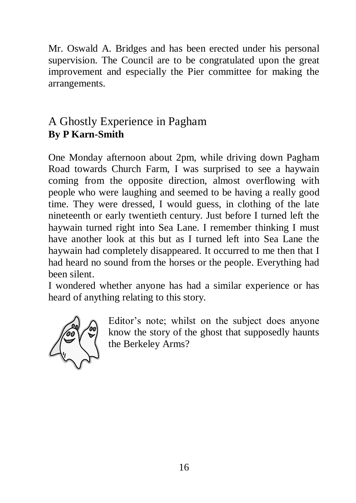Mr. Oswald A. Bridges and has been erected under his personal supervision. The Council are to be congratulated upon the great improvement and especially the Pier committee for making the arrangements.

## A Ghostly Experience in Pagham **By P Karn-Smith**

One Monday afternoon about 2pm, while driving down Pagham Road towards Church Farm, I was surprised to see a haywain coming from the opposite direction, almost overflowing with people who were laughing and seemed to be having a really good time. They were dressed, I would guess, in clothing of the late nineteenth or early twentieth century. Just before I turned left the haywain turned right into Sea Lane. I remember thinking I must have another look at this but as I turned left into Sea Lane the haywain had completely disappeared. It occurred to me then that I had heard no sound from the horses or the people. Everything had been silent.

I wondered whether anyone has had a similar experience or has heard of anything relating to this story.



Editor's note; whilst on the subject does anyone know the story of the ghost that supposedly haunts the Berkeley Arms?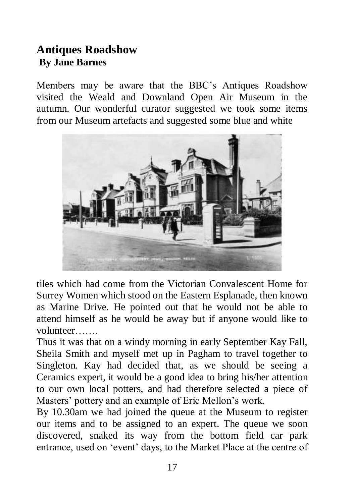### **Antiques Roadshow By Jane Barnes**

Members may be aware that the BBC's Antiques Roadshow visited the Weald and Downland Open Air Museum in the autumn. Our wonderful curator suggested we took some items from our Museum artefacts and suggested some blue and white



tiles which had come from the Victorian Convalescent Home for Surrey Women which stood on the Eastern Esplanade, then known as Marine Drive. He pointed out that he would not be able to attend himself as he would be away but if anyone would like to volunteer…….

Thus it was that on a windy morning in early September Kay Fall, Sheila Smith and myself met up in Pagham to travel together to Singleton. Kay had decided that, as we should be seeing a Ceramics expert, it would be a good idea to bring his/her attention to our own local potters, and had therefore selected a piece of Masters' pottery and an example of Eric Mellon's work.

By 10.30am we had joined the queue at the Museum to register our items and to be assigned to an expert. The queue we soon discovered, snaked its way from the bottom field car park entrance, used on 'event' days, to the Market Place at the centre of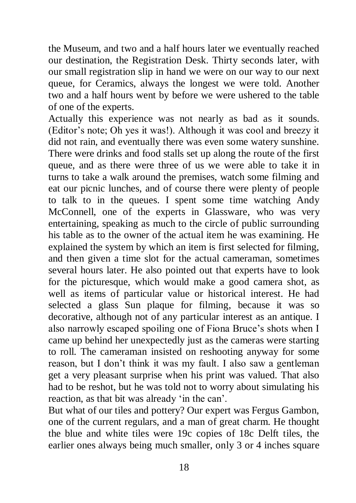the Museum, and two and a half hours later we eventually reached our destination, the Registration Desk. Thirty seconds later, with our small registration slip in hand we were on our way to our next queue, for Ceramics, always the longest we were told. Another two and a half hours went by before we were ushered to the table of one of the experts.

Actually this experience was not nearly as bad as it sounds. (Editor's note; Oh yes it was!). Although it was cool and breezy it did not rain, and eventually there was even some watery sunshine. There were drinks and food stalls set up along the route of the first queue, and as there were three of us we were able to take it in turns to take a walk around the premises, watch some filming and eat our picnic lunches, and of course there were plenty of people to talk to in the queues. I spent some time watching Andy McConnell, one of the experts in Glassware, who was very entertaining, speaking as much to the circle of public surrounding his table as to the owner of the actual item he was examining. He explained the system by which an item is first selected for filming, and then given a time slot for the actual cameraman, sometimes several hours later. He also pointed out that experts have to look for the picturesque, which would make a good camera shot, as well as items of particular value or historical interest. He had selected a glass Sun plaque for filming, because it was so decorative, although not of any particular interest as an antique. I also narrowly escaped spoiling one of Fiona Bruce's shots when I came up behind her unexpectedly just as the cameras were starting to roll. The cameraman insisted on reshooting anyway for some reason, but I don't think it was my fault. I also saw a gentleman get a very pleasant surprise when his print was valued. That also had to be reshot, but he was told not to worry about simulating his reaction, as that bit was already 'in the can'.

But what of our tiles and pottery? Our expert was Fergus Gambon, one of the current regulars, and a man of great charm. He thought the blue and white tiles were 19c copies of 18c Delft tiles, the earlier ones always being much smaller, only 3 or 4 inches square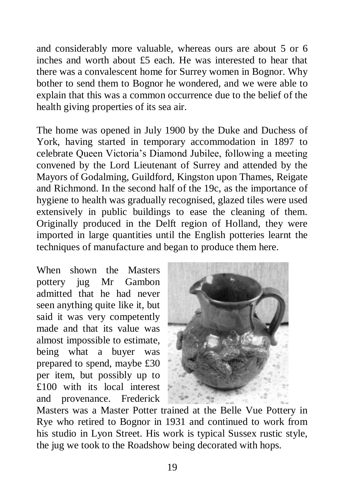and considerably more valuable, whereas ours are about 5 or 6 inches and worth about £5 each. He was interested to hear that there was a convalescent home for Surrey women in Bognor. Why bother to send them to Bognor he wondered, and we were able to explain that this was a common occurrence due to the belief of the health giving properties of its sea air.

The home was opened in July 1900 by the Duke and Duchess of York, having started in temporary accommodation in 1897 to celebrate Queen Victoria's Diamond Jubilee, following a meeting convened by the Lord Lieutenant of Surrey and attended by the Mayors of Godalming, Guildford, Kingston upon Thames, Reigate and Richmond. In the second half of the 19c, as the importance of hygiene to health was gradually recognised, glazed tiles were used extensively in public buildings to ease the cleaning of them. Originally produced in the Delft region of Holland, they were imported in large quantities until the English potteries learnt the techniques of manufacture and began to produce them here.

When shown the Masters pottery jug Mr Gambon admitted that he had never seen anything quite like it, but said it was very competently made and that its value was almost impossible to estimate, being what a buyer was prepared to spend, maybe £30 per item, but possibly up to £100 with its local interest and provenance. Frederick



Masters was a Master Potter trained at the Belle Vue Pottery in Rye who retired to Bognor in 1931 and continued to work from his studio in Lyon Street. His work is typical Sussex rustic style, the jug we took to the Roadshow being decorated with hops.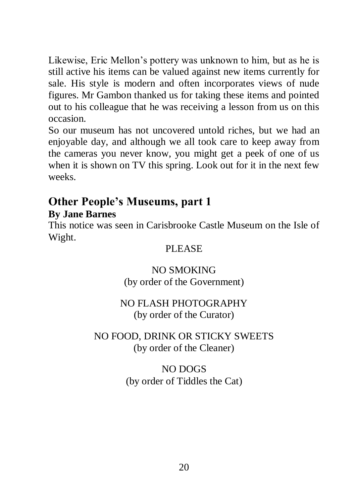Likewise, Eric Mellon's pottery was unknown to him, but as he is still active his items can be valued against new items currently for sale. His style is modern and often incorporates views of nude figures. Mr Gambon thanked us for taking these items and pointed out to his colleague that he was receiving a lesson from us on this occasion.

So our museum has not uncovered untold riches, but we had an enjoyable day, and although we all took care to keep away from the cameras you never know, you might get a peek of one of us when it is shown on TV this spring. Look out for it in the next few weeks.

## **Other People's Museums, part 1**

#### **By Jane Barnes**

This notice was seen in Carisbrooke Castle Museum on the Isle of Wight.

#### PLEASE.

#### NO SMOKING (by order of the Government)

#### NO FLASH PHOTOGRAPHY (by order of the Curator)

#### NO FOOD, DRINK OR STICKY SWEETS (by order of the Cleaner)

## NO DOGS (by order of Tiddles the Cat)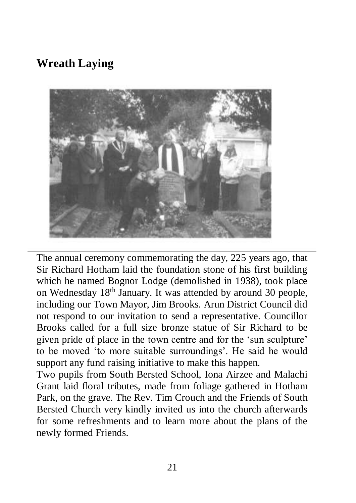## **Wreath Laying**



The annual ceremony commemorating the day, 225 years ago, that Sir Richard Hotham laid the foundation stone of his first building which he named Bognor Lodge (demolished in 1938), took place on Wednesday 18<sup>th</sup> January. It was attended by around 30 people, including our Town Mayor, Jim Brooks. Arun District Council did not respond to our invitation to send a representative. Councillor Brooks called for a full size bronze statue of Sir Richard to be given pride of place in the town centre and for the 'sun sculpture' to be moved 'to more suitable surroundings'. He said he would support any fund raising initiative to make this happen.

Two pupils from South Bersted School, Iona Airzee and Malachi Grant laid floral tributes, made from foliage gathered in Hotham Park, on the grave. The Rev. Tim Crouch and the Friends of South Bersted Church very kindly invited us into the church afterwards for some refreshments and to learn more about the plans of the newly formed Friends.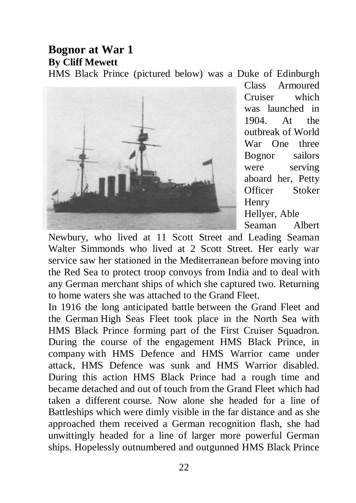#### **Bognor at War 1 By Cliff Mewett** HMS Black Prince (pictured below) was a Duke of Edinburgh



Class Armoured Cruiser which was launched in 1904. At the outbreak of World War One three Bognor sailors were serving aboard her, Petty Officer Stoker Henry Hellyer, Able

Seaman Albert

Newbury, who lived at 11 Scott Street and Leading Seaman Walter Simmonds who lived at 2 Scott Street. Her early war service saw her stationed in the Mediterranean before moving into the Red Sea to protect troop convoys from India and to deal with any German merchant ships of which she captured two. Returning to home waters she was attached to the Grand Fleet.

In 1916 the long anticipated battle between the Grand Fleet and the German High Seas Fleet took place in the North Sea with HMS Black Prince forming part of the First Cruiser Squadron. During the course of the engagement HMS Black Prince, in company with HMS Defence and HMS Warrior came under attack, HMS Defence was sunk and HMS Warrior disabled. During this action HMS Black Prince had a rough time and became detached and out of touch from the Grand Fleet which had taken a different course. Now alone she headed for a line of Battleships which were dimly visible in the far distance and as she approached them received a German recognition flash, she had unwittingly headed for a line of larger more powerful German ships. Hopelessly outnumbered and outgunned HMS Black Prince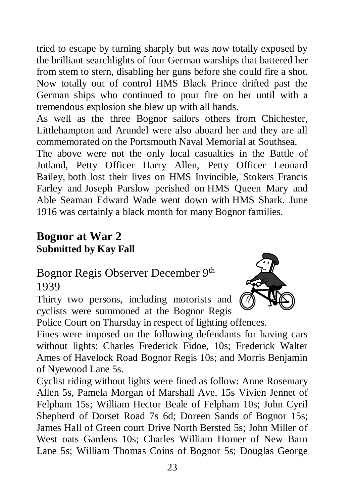tried to escape by turning sharply but was now totally exposed by the brilliant searchlights of four German warships that battered her from stem to stern, disabling her guns before she could fire a shot. Now totally out of control HMS Black Prince drifted past the German ships who continued to pour fire on her until with a tremendous explosion she blew up with all hands.

As well as the three Bognor sailors others from Chichester, Littlehampton and Arundel were also aboard her and they are all commemorated on the Portsmouth Naval Memorial at Southsea.

The above were not the only local casualties in the Battle of Jutland, Petty Officer Harry Allen, Petty Officer Leonard Bailey, both lost their lives on HMS Invincible, Stokers Francis Farley and Joseph Parslow perished on HMS Queen Mary and Able Seaman Edward Wade went down with HMS Shark. June 1916 was certainly a black month for many Bognor families.

## **Bognor at War 2 Submitted by Kay Fall**

Bognor Regis Observer December 9<sup>th</sup> 1939

Thirty two persons, including motorists and cyclists were summoned at the Bognor Regis



Police Court on Thursday in respect of lighting offences.

Fines were imposed on the following defendants for having cars without lights: Charles Frederick Fidoe, 10s; Frederick Walter Ames of Havelock Road Bognor Regis 10s; and Morris Benjamin of Nyewood Lane 5s.

Cyclist riding without lights were fined as follow: Anne Rosemary Allen 5s, Pamela Morgan of Marshall Ave, 15s Vivien Jennet of Felpham 15s; William Hector Beale of Felpham 10s; John Cyril Shepherd of Dorset Road 7s 6d; Doreen Sands of Bognor 15s; James Hall of Green court Drive North Bersted 5s; John Miller of West oats Gardens 10s; Charles William Homer of New Barn Lane 5s; William Thomas Coins of Bognor 5s; Douglas George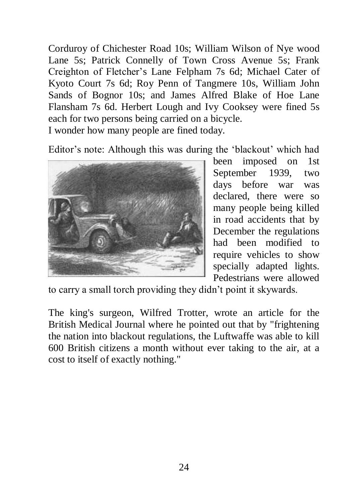Corduroy of Chichester Road 10s; William Wilson of Nye wood Lane 5s; Patrick Connelly of Town Cross Avenue 5s; Frank Creighton of Fletcher's Lane Felpham 7s 6d; Michael Cater of Kyoto Court 7s 6d; Roy Penn of Tangmere 10s, William John Sands of Bognor 10s; and James Alfred Blake of Hoe Lane Flansham 7s 6d. Herbert Lough and Ivy Cooksey were fined 5s each for two persons being carried on a bicycle.

I wonder how many people are fined today.

Editor's note: Although this was during the 'blackout' which had



been imposed on 1st September 1939, two days before war was declared, there were so many people being killed in road accidents that by December the regulations had been modified to require vehicles to show specially adapted lights. Pedestrians were allowed

to carry a small torch providing they didn't point it skywards.

The king's surgeon, Wilfred Trotter, wrote an article for the British Medical Journal where he pointed out that by "frightening the nation into blackout regulations, the Luftwaffe was able to kill 600 British citizens a month without ever taking to the air, at a cost to itself of exactly nothing."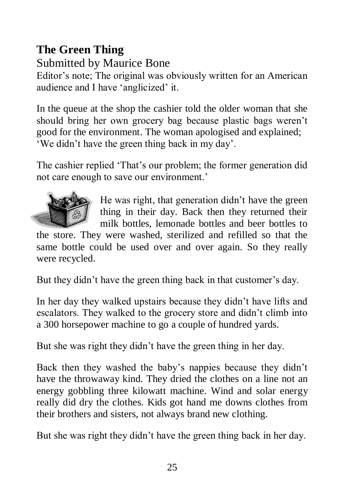## **The Green Thing**

Submitted by Maurice Bone

Editor's note; The original was obviously written for an American audience and I have 'anglicized' it.

In the queue at the shop the cashier told the older woman that she should bring her own grocery bag because plastic bags weren't good for the environment. The woman apologised and explained; 'We didn't have the green thing back in my day'.

The cashier replied 'That's our problem; the former generation did not care enough to save our environment.'



He was right, that generation didn't have the green thing in their day. Back then they returned their milk bottles, lemonade bottles and beer bottles to

the store. They were washed, sterilized and refilled so that the same bottle could be used over and over again. So they really were recycled.

But they didn't have the green thing back in that customer's day.

In her day they walked upstairs because they didn't have lifts and escalators. They walked to the grocery store and didn't climb into a 300 horsepower machine to go a couple of hundred yards.

But she was right they didn't have the green thing in her day.

Back then they washed the baby's nappies because they didn't have the throwaway kind. They dried the clothes on a line not an energy gobbling three kilowatt machine. Wind and solar energy really did dry the clothes. Kids got hand me downs clothes from their brothers and sisters, not always brand new clothing.

But she was right they didn't have the green thing back in her day.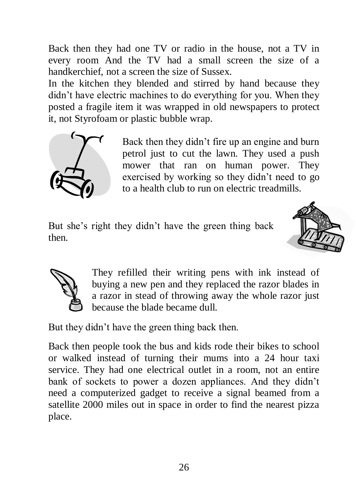Back then they had one TV or radio in the house, not a TV in every room And the TV had a small screen the size of a handkerchief, not a screen the size of Sussex.

In the kitchen they blended and stirred by hand because they didn't have electric machines to do everything for you. When they posted a fragile item it was wrapped in old newspapers to protect it, not Styrofoam or plastic bubble wrap.



Back then they didn't fire up an engine and burn petrol just to cut the lawn. They used a push mower that ran on human power. They exercised by working so they didn't need to go to a health club to run on electric treadmills.

But she's right they didn't have the green thing back then.





They refilled their writing pens with ink instead of buying a new pen and they replaced the razor blades in a razor in stead of throwing away the whole razor just because the blade became dull.

But they didn't have the green thing back then.

Back then people took the bus and kids rode their bikes to school or walked instead of turning their mums into a 24 hour taxi service. They had one electrical outlet in a room, not an entire bank of sockets to power a dozen appliances. And they didn't need a computerized gadget to receive a signal beamed from a satellite 2000 miles out in space in order to find the nearest pizza place.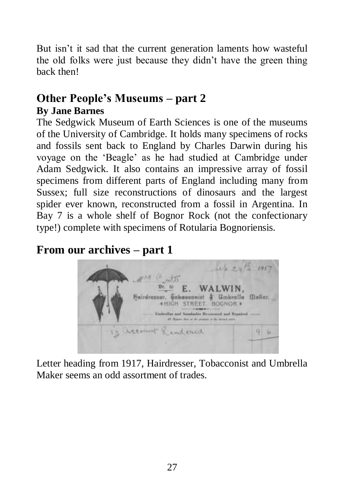But isn't it sad that the current generation laments how wasteful the old folks were just because they didn't have the green thing back then!

## **Other People's Museums – part 2 By Jane Barnes**

The Sedgwick Museum of Earth Sciences is one of the museums of the University of Cambridge. It holds many specimens of rocks and fossils sent back to England by Charles Darwin during his voyage on the 'Beagle' as he had studied at Cambridge under Adam Sedgwick. It also contains an impressive array of fossil specimens from different parts of England including many from Sussex; full size reconstructions of dinosaurs and the largest spider ever known, reconstructed from a fossil in Argentina. In Bay 7 is a whole shelf of Bognor Rock (not the confectionary type!) complete with specimens of Rotularia Bognoriensis.

## **From our archives – part 1**



Letter heading from 1917, Hairdresser, Tobacconist and Umbrella Maker seems an odd assortment of trades.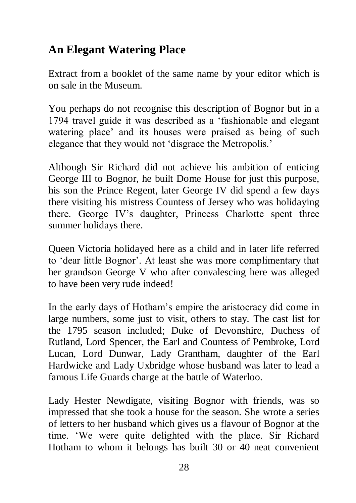## **An Elegant Watering Place**

Extract from a booklet of the same name by your editor which is on sale in the Museum.

You perhaps do not recognise this description of Bognor but in a 1794 travel guide it was described as a 'fashionable and elegant watering place' and its houses were praised as being of such elegance that they would not 'disgrace the Metropolis.'

Although Sir Richard did not achieve his ambition of enticing George III to Bognor, he built Dome House for just this purpose, his son the Prince Regent, later George IV did spend a few days there visiting his mistress Countess of Jersey who was holidaying there. George IV's daughter, Princess Charlotte spent three summer holidays there.

Queen Victoria holidayed here as a child and in later life referred to 'dear little Bognor'. At least she was more complimentary that her grandson George V who after convalescing here was alleged to have been very rude indeed!

In the early days of Hotham's empire the aristocracy did come in large numbers, some just to visit, others to stay. The cast list for the 1795 season included; Duke of Devonshire, Duchess of Rutland, Lord Spencer, the Earl and Countess of Pembroke, Lord Lucan, Lord Dunwar, Lady Grantham, daughter of the Earl Hardwicke and Lady Uxbridge whose husband was later to lead a famous Life Guards charge at the battle of Waterloo.

Lady Hester Newdigate, visiting Bognor with friends, was so impressed that she took a house for the season. She wrote a series of letters to her husband which gives us a flavour of Bognor at the time. 'We were quite delighted with the place. Sir Richard Hotham to whom it belongs has built 30 or 40 neat convenient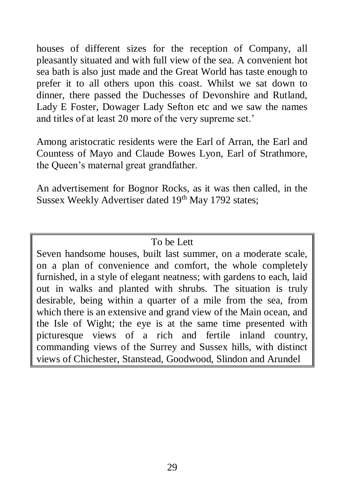houses of different sizes for the reception of Company, all pleasantly situated and with full view of the sea. A convenient hot sea bath is also just made and the Great World has taste enough to prefer it to all others upon this coast. Whilst we sat down to dinner, there passed the Duchesses of Devonshire and Rutland, Lady E Foster, Dowager Lady Sefton etc and we saw the names and titles of at least 20 more of the very supreme set.'

Among aristocratic residents were the Earl of Arran, the Earl and Countess of Mayo and Claude Bowes Lyon, Earl of Strathmore, the Queen's maternal great grandfather.

An advertisement for Bognor Rocks, as it was then called, in the Sussex Weekly Advertiser dated 19<sup>th</sup> May 1792 states:

#### To be Lett

Seven handsome houses, built last summer, on a moderate scale, on a plan of convenience and comfort, the whole completely furnished, in a style of elegant neatness; with gardens to each, laid out in walks and planted with shrubs. The situation is truly desirable, being within a quarter of a mile from the sea, from which there is an extensive and grand view of the Main ocean, and the Isle of Wight; the eye is at the same time presented with picturesque views of a rich and fertile inland country, commanding views of the Surrey and Sussex hills, with distinct views of Chichester, Stanstead, Goodwood, Slindon and Arundel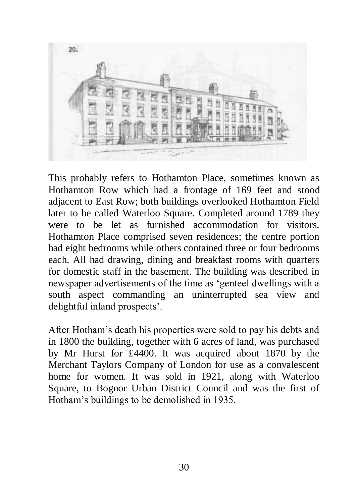

This probably refers to Hothamton Place, sometimes known as Hothamton Row which had a frontage of 169 feet and stood adjacent to East Row; both buildings overlooked Hothamton Field later to be called Waterloo Square. Completed around 1789 they were to be let as furnished accommodation for visitors. Hothamton Place comprised seven residences; the centre portion had eight bedrooms while others contained three or four bedrooms each. All had drawing, dining and breakfast rooms with quarters for domestic staff in the basement. The building was described in newspaper advertisements of the time as 'genteel dwellings with a south aspect commanding an uninterrupted sea view and delightful inland prospects'.

After Hotham's death his properties were sold to pay his debts and in 1800 the building, together with 6 acres of land, was purchased by Mr Hurst for £4400. It was acquired about 1870 by the Merchant Taylors Company of London for use as a convalescent home for women. It was sold in 1921, along with Waterloo Square, to Bognor Urban District Council and was the first of Hotham's buildings to be demolished in 1935.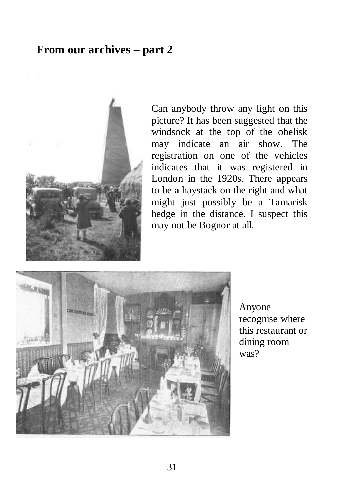#### **From our archives – part 2**



Can anybody throw any light on this picture? It has been suggested that the windsock at the top of the obelisk may indicate an air show. The registration on one of the vehicles indicates that it was registered in London in the 1920s. There appears to be a haystack on the right and what might just possibly be a Tamarisk hedge in the distance. I suspect this may not be Bognor at all.



Anyone recognise where this restaurant or dining room was?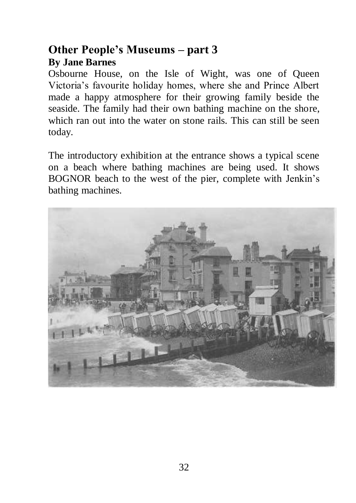## **Other People's Museums – part 3 By Jane Barnes**

Osbourne House, on the Isle of Wight, was one of Queen Victoria's favourite holiday homes, where she and Prince Albert made a happy atmosphere for their growing family beside the seaside. The family had their own bathing machine on the shore, which ran out into the water on stone rails. This can still be seen today.

The introductory exhibition at the entrance shows a typical scene on a beach where bathing machines are being used. It shows BOGNOR beach to the west of the pier, complete with Jenkin's bathing machines.

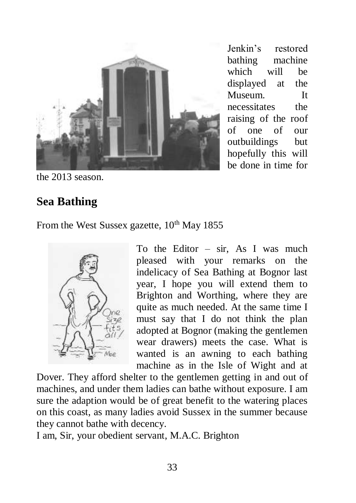

Jenkin's restored bathing machine which will be displayed at the Museum. It necessitates the raising of the roof of one of our outbuildings but hopefully this will be done in time for

the 2013 season.

## **Sea Bathing**

From the West Sussex gazette,  $10^{th}$  May 1855



To the Editor – sir, As I was much pleased with your remarks on the indelicacy of Sea Bathing at Bognor last year, I hope you will extend them to Brighton and Worthing, where they are quite as much needed. At the same time I must say that I do not think the plan adopted at Bognor (making the gentlemen wear drawers) meets the case. What is wanted is an awning to each bathing machine as in the Isle of Wight and at

Dover. They afford shelter to the gentlemen getting in and out of machines, and under them ladies can bathe without exposure. I am sure the adaption would be of great benefit to the watering places on this coast, as many ladies avoid Sussex in the summer because they cannot bathe with decency.

I am, Sir, your obedient servant, M.A.C. Brighton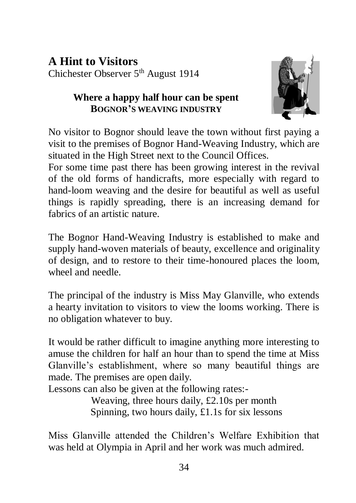## **A Hint to Visitors**  Chichester Observer 5<sup>th</sup> August 1914

#### **Where a happy half hour can be spent BOGNOR'S WEAVING INDUSTRY**



No visitor to Bognor should leave the town without first paying a visit to the premises of Bognor Hand-Weaving Industry, which are situated in the High Street next to the Council Offices.

For some time past there has been growing interest in the revival of the old forms of handicrafts, more especially with regard to hand-loom weaving and the desire for beautiful as well as useful things is rapidly spreading, there is an increasing demand for fabrics of an artistic nature.

The Bognor Hand-Weaving Industry is established to make and supply hand-woven materials of beauty, excellence and originality of design, and to restore to their time-honoured places the loom, wheel and needle.

The principal of the industry is Miss May Glanville, who extends a hearty invitation to visitors to view the looms working. There is no obligation whatever to buy.

It would be rather difficult to imagine anything more interesting to amuse the children for half an hour than to spend the time at Miss Glanville's establishment, where so many beautiful things are made. The premises are open daily.

Lessons can also be given at the following rates:-

Weaving, three hours daily, £2.10s per month Spinning, two hours daily, £1.1s for six lessons

Miss Glanville attended the Children's Welfare Exhibition that was held at Olympia in April and her work was much admired.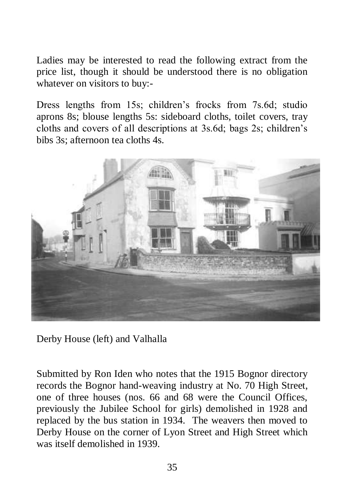Ladies may be interested to read the following extract from the price list, though it should be understood there is no obligation whatever on visitors to buy:-

Dress lengths from 15s; children's frocks from 7s.6d; studio aprons 8s; blouse lengths 5s: sideboard cloths, toilet covers, tray cloths and covers of all descriptions at 3s.6d; bags 2s; children's bibs 3s; afternoon tea cloths 4s.



Derby House (left) and Valhalla

Submitted by Ron Iden who notes that the 1915 Bognor directory records the Bognor hand-weaving industry at No. 70 High Street, one of three houses (nos. 66 and 68 were the Council Offices, previously the Jubilee School for girls) demolished in 1928 and replaced by the bus station in 1934. The weavers then moved to Derby House on the corner of Lyon Street and High Street which was itself demolished in 1939.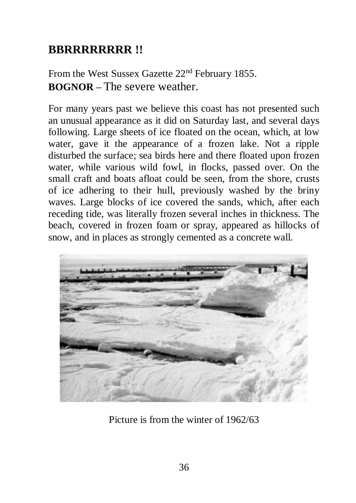## **BBRRRRRRRR !!**

From the West Sussex Gazette 22<sup>nd</sup> February 1855. **BOGNOR –** The severe weather.

For many years past we believe this coast has not presented such an unusual appearance as it did on Saturday last, and several days following. Large sheets of ice floated on the ocean, which, at low water, gave it the appearance of a frozen lake. Not a ripple disturbed the surface; sea birds here and there floated upon frozen water, while various wild fowl, in flocks, passed over. On the small craft and boats afloat could be seen, from the shore, crusts of ice adhering to their hull, previously washed by the briny waves. Large blocks of ice covered the sands, which, after each receding tide, was literally frozen several inches in thickness. The beach, covered in frozen foam or spray, appeared as hillocks of snow, and in places as strongly cemented as a concrete wall.



Picture is from the winter of 1962/63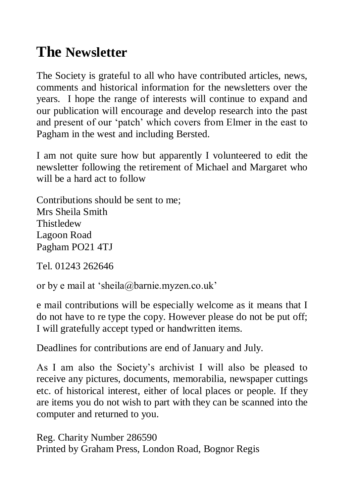## **The Newsletter**

The Society is grateful to all who have contributed articles, news, comments and historical information for the newsletters over the years. I hope the range of interests will continue to expand and our publication will encourage and develop research into the past and present of our 'patch' which covers from Elmer in the east to Pagham in the west and including Bersted.

I am not quite sure how but apparently I volunteered to edit the newsletter following the retirement of Michael and Margaret who will be a hard act to follow

Contributions should be sent to me; Mrs Sheila Smith **Thistledew** Lagoon Road Pagham PO21 4TJ

Tel. 01243 262646

or by e mail at 'sheila@barnie.myzen.co.uk'

e mail contributions will be especially welcome as it means that I do not have to re type the copy. However please do not be put off; I will gratefully accept typed or handwritten items.

Deadlines for contributions are end of January and July.

As I am also the Society's archivist I will also be pleased to receive any pictures, documents, memorabilia, newspaper cuttings etc. of historical interest, either of local places or people. If they are items you do not wish to part with they can be scanned into the computer and returned to you.

Reg. Charity Number 286590 Printed by Graham Press, London Road, Bognor Regis